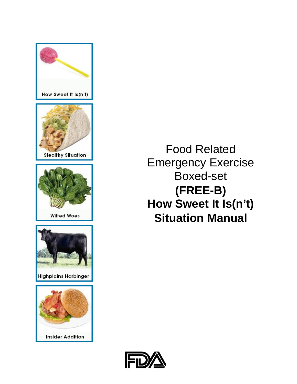

Food Related Emergency Exercise Boxed-set **(FREE-B) How Sweet It Is(n't) Situation Manual**

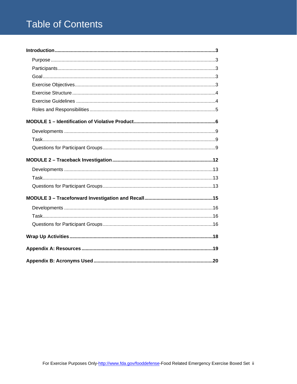# **Table of Contents**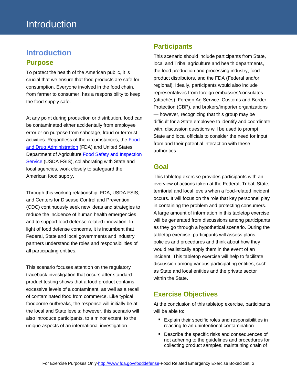# <span id="page-2-1"></span><span id="page-2-0"></span>**Introduction Purpose**

To protect the health of the American public, it is crucial that we ensure that food products are safe for consumption. Everyone involved in the food chain, from farmer to consumer, has a responsibility to keep the food supply safe.

At any point during production or distribution, food can be contaminated either accidentally from employee error or on purpose from sabotage, fraud or terrorist activities. Regardless of the circumstances, the [Food](http://www.fda.gov/)  [and Drug Administration](http://www.fda.gov/) (FDA) and United States Department of Agriculture [Food Safety and Inspection](http://www.fsis.usda.gov/)  [Service](http://www.fsis.usda.gov/) (USDA FSIS), collaborating with State and local agencies, work closely to safeguard the American food supply.

Through this working relationship, FDA, USDA FSIS, and Centers for Disease Control and Prevention (CDC) continuously seek new ideas and strategies to reduce the incidence of human health emergencies and to support food defense-related innovation. In light of food defense concerns, it is incumbent that Federal, State and local governments and industry partners understand the roles and responsibilities of all participating entities.

This scenario focuses attention on the regulatory traceback investigation that occurs after standard product testing shows that a food product contains excessive levels of a contaminant, as well as a recall of contaminated food from commerce. Like typical foodborne outbreaks, the response will initially be at the local and State levels; however, this scenario will also introduce participants, to a minor extent, to the unique aspects of an international investigation.

### <span id="page-2-2"></span>**Participants**

This scenario should include participants from State, local and Tribal agriculture and health departments, the food production and processing industry, food product distributors, and the FDA (Federal and/or regional). Ideally, participants would also include representatives from foreign embassies/consulates (attachés), Foreign Ag Service, Customs and Border Protection (CBP), and brokers/importer organizations — however, recognizing that this group may be difficult for a State employee to identify and coordinate with, discussion questions will be used to prompt State and local officials to consider the need for input from and their potential interaction with these authorities.

### <span id="page-2-3"></span>**Goal**

This tabletop exercise provides participants with an overview of actions taken at the Federal, Tribal, State, territorial and local levels when a food-related incident occurs. It will focus on the role that key personnel play in containing the problem and protecting consumers. A large amount of information in this tabletop exercise will be generated from discussions among participants as they go through a hypothetical scenario. During the tabletop exercise, participants will assess plans, policies and procedures and think about how they would realistically apply them in the event of an incident. This tabletop exercise will help to facilitate discussion among various participating entities, such as State and local entities and the private sector within the State.

## <span id="page-2-4"></span>**Exercise Objectives**

At the conclusion of this tabletop exercise, participants will be able to:

- **Explain their specific roles and responsibilities in** reacting to an unintentional contamination
- Describe the specific risks and consequences of not adhering to the guidelines and procedures for collecting product samples, maintaining chain of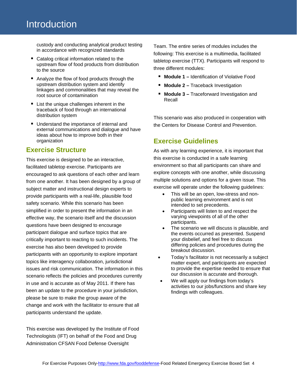custody and conducting analytical product testing in accordance with recognized standards

- Catalog critical information related to the upstream flow of food products from distribution to the source
- Analyze the flow of food products through the upstream distribution system and identify linkages and commonalities that may reveal the root source of contamination
- **E** List the unique challenges inherent in the traceback of food through an international distribution system
- Understand the importance of internal and external communications and dialogue and have ideas about how to improve both in their organization

### <span id="page-3-0"></span>**Exercise Structure**

This exercise is designed to be an interactive, facilitated tabletop exercise. Participants are encouraged to ask questions of each other and learn from one another. It has been designed by a group of subject matter and instructional design experts to provide participants with a real-life, plausible food safety scenario. While this scenario has been simplified in order to present the information in an effective way, the scenario itself and the discussion questions have been designed to encourage participant dialogue and surface topics that are critically important to reacting to such incidents. The exercise has also been developed to provide participants with an opportunity to explore important topics like interagency collaboration, jurisdictional issues and risk communication. The information in this scenario reflects the policies and procedures currently in use and is accurate as of May 2011. If there has been an update to the procedure in your jurisdiction, please be sure to make the group aware of the change and work with the facilitator to ensure that all participants understand the update.

This exercise was developed by the Institute of Food Technologists (IFT) on behalf of the Food and Drug Administration CFSAN Food Defense Oversight

Team. The entire series of modules includes the following: This exercise is a multimedia, facilitated tabletop exercise (TTX). Participants will respond to three different modules:

- **Module 1** Identification of Violative Food
- **Module 2 –** Traceback Investigation
- **Module 3 –** Traceforward Investigation and Recall

This scenario was also produced in cooperation with the Centers for Disease Control and Prevention.

### <span id="page-3-1"></span>**Exercise Guidelines**

As with any learning experience, it is important that this exercise is conducted in a safe learning environment so that all participants can share and explore concepts with one another, while discussing multiple solutions and options for a given issue. This exercise will operate under the following guidelines:

- This will be an open, low-stress and nonpublic learning environment and is not intended to set precedents.
- Participants will listen to and respect the varying viewpoints of all of the other participants.
- The scenario we will discuss is plausible, and the events occurred as presented. Suspend your disbelief, and feel free to discuss differing policies and procedures during the breakout discussion.
- Today's facilitator is not necessarily a subject matter expert, and participants are expected to provide the expertise needed to ensure that our discussion is accurate and thorough.
- We will apply our findings from today's activities to our jobs/functions and share key findings with colleagues.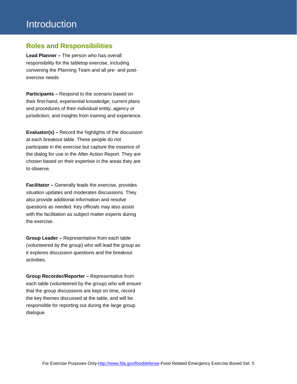### <span id="page-4-0"></span>**Roles and Responsibilities**

**Lead Planner –** The person who has overall responsibility for the tabletop exercise, including convening the Planning Team and all pre- and postexercise needs

**Participants –** Respond to the scenario based on their first-hand, experiential knowledge; current plans and procedures of their individual entity, agency or jurisdiction; and insights from training and experience.

**Evaluator(s) –** Record the highlights of the discussion at each breakout table. These people do not participate in the exercise but capture the essence of the dialog for use in the After Action Report. They are chosen based on their expertise in the areas they are to observe.

**Facilitator –** Generally leads the exercise, provides situation updates and moderates discussions. They also provide additional information and resolve questions as needed. Key officials may also assist with the facilitation as subject matter experts during the exercise.

**Group Leader –** Representative from each table (volunteered by the group) who will lead the group as it explores discussion questions and the breakout activities.

**Group Recorder/Reporter –** Representative from each table (volunteered by the group) who will ensure that the group discussions are kept on time, record the key themes discussed at the table, and will be responsible for reporting out during the large group dialogue.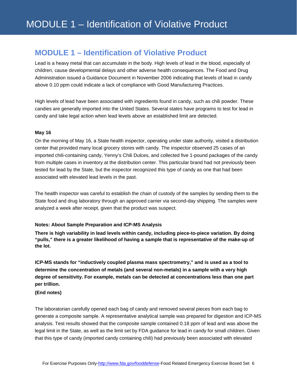## <span id="page-5-0"></span>**MODULE 1 – Identification of Violative Product**

Lead is a heavy metal that can accumulate in the body. High levels of lead in the blood, especially of children, cause developmental delays and other adverse health consequences. The Food and Drug Administration issued a Guidance Document in November 2006 indicating that levels of lead in candy above 0.10 ppm could indicate a lack of compliance with Good Manufacturing Practices.

High levels of lead have been associated with ingredients found in candy, such as chili powder. These candies are generally imported into the United States. Several states have programs to test for lead in candy and take legal action when lead levels above an established limit are detected.

### **May 16**

On the morning of May 16, a State health inspector, operating under state authority, visited a distribution center that provided many local grocery stores with candy. The inspector observed 25 cases of an imported chili-containing candy, Yenny's Chili Dulces, and collected five 1-pound packages of the candy from multiple cases in inventory at the distribution center. This particular brand had not previously been tested for lead by the State, but the inspector recognized this type of candy as one that had been associated with elevated lead levels in the past.

The health inspector was careful to establish the chain of custody of the samples by sending them to the State food and drug laboratory through an approved carrier via second-day shipping. The samples were analyzed a week after receipt, given that the product was suspect.

#### **Notes: About Sample Preparation and ICP-MS Analysis**

**There is high variability in lead levels within candy, including piece-to-piece variation. By doing "pulls," there is a greater likelihood of having a sample that is representative of the make-up of the lot.** 

**ICP-MS stands for "inductively coupled plasma mass spectrometry," and is used as a tool to determine the concentration of metals (and several non-metals) in a sample with a very high degree of sensitivity. For example, metals can be detected at concentrations less than one part per trillion.**

### **(End notes)**

The laboratorian carefully opened each bag of candy and removed several pieces from each bag to generate a composite sample. A representative analytical sample was prepared for digestion and ICP-MS analysis. Test results showed that the composite sample contained 0.18 ppm of lead and was above the legal limit in the State, as well as the limit set by FDA guidance for lead in candy for small children. Given that this type of candy (imported candy containing chili) had previously been associated with elevated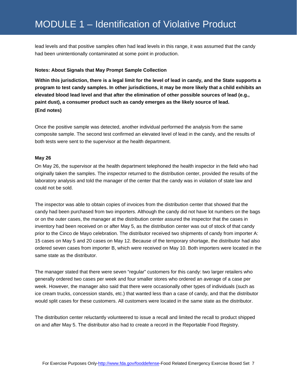lead levels and that positive samples often had lead levels in this range, it was assumed that the candy had been unintentionally contaminated at some point in production.

#### **Notes: About Signals that May Prompt Sample Collection**

**Within this jurisdiction, there is a legal limit for the level of lead in candy, and the State supports a program to test candy samples. In other jurisdictions, it may be more likely that a child exhibits an elevated blood lead level and that after the elimination of other possible sources of lead (e.g., paint dust), a consumer product such as candy emerges as the likely source of lead. (End notes)**

Once the positive sample was detected, another individual performed the analysis from the same composite sample. The second test confirmed an elevated level of lead in the candy, and the results of both tests were sent to the supervisor at the health department.

### **May 26**

On May 26, the supervisor at the health department telephoned the health inspector in the field who had originally taken the samples. The inspector returned to the distribution center, provided the results of the laboratory analysis and told the manager of the center that the candy was in violation of state law and could not be sold.

The inspector was able to obtain copies of invoices from the distribution center that showed that the candy had been purchased from two importers. Although the candy did not have lot numbers on the bags or on the outer cases, the manager at the distribution center assured the inspector that the cases in inventory had been received on or after May 5, as the distribution center was out of stock of that candy prior to the Cinco de Mayo celebration. The distributor received two shipments of candy from importer A: 15 cases on May 5 and 20 cases on May 12. Because of the temporary shortage, the distributor had also ordered seven cases from importer B, which were received on May 10. Both importers were located in the same state as the distributor.

The manager stated that there were seven "regular" customers for this candy: two larger retailers who generally ordered two cases per week and four smaller stores who ordered an average of a case per week. However, the manager also said that there were occasionally other types of individuals (such as ice cream trucks, concession stands, etc.) that wanted less than a case of candy, and that the distributor would split cases for these customers. All customers were located in the same state as the distributor.

The distribution center reluctantly volunteered to issue a recall and limited the recall to product shipped on and after May 5. The distributor also had to create a record in the Reportable Food Registry.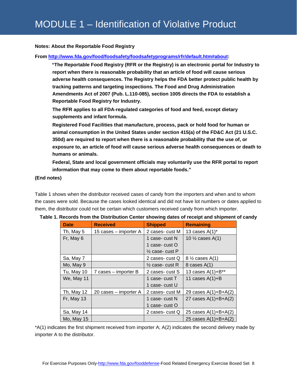### **Notes: About the Reportable Food Registry**

### **From [http://www.fda.gov/food/foodsafety/foodsafetyprograms/rfr/default.htm#about:](http://www.fda.gov/food/foodsafety/foodsafetyprograms/rfr/default.htm#about)**

**"The Reportable Food Registry (RFR or the Registry) is an electronic portal for Industry to report when there is reasonable probability that an article of food will cause serious adverse health consequences. The Registry helps the FDA better protect public health by tracking patterns and targeting inspections. The Food and Drug Administration Amendments Act of 2007 (Pub. L.110-085), section 1005 directs the FDA to establish a Reportable Food Registry for Industry.** 

**The RFR applies to all FDA-regulated categories of food and feed, except dietary supplements and infant formula.** 

**Registered Food Facilities that manufacture, process, pack or hold food for human or animal consumption in the United States under section 415(a) of the FD&C Act (21 U.S.C. 350d) are required to report when there is a reasonable probability that the use of, or exposure to, an article of food will cause serious adverse health consequences or death to humans or animals.** 

**Federal, State and local government officials may voluntarily use the RFR portal to report information that may come to them about reportable foods."**

### **(End notes)**

Table 1 shows when the distributor received cases of candy from the importers and when and to whom the cases were sold. Because the cases looked identical and did not have lot numbers or dates applied to them, the distributor could not be certain which customers received candy from which importer.

| <b>Date</b> | <b>Received</b>       | <b>Shipped</b>             | <b>Remaining</b>            |
|-------------|-----------------------|----------------------------|-----------------------------|
| Th, May 5   | 15 cases – importer A | 2 cases-cust M             | 13 cases $A(1)^*$           |
| Fr, May 6   |                       | 1 case- cust N             | 10 $\frac{1}{2}$ cases A(1) |
|             |                       | 1 case- cust O             |                             |
|             |                       | $\frac{1}{2}$ case- cust P |                             |
| Sa, May 7   |                       | 2 cases- cust Q            | $8\frac{1}{2}$ cases A(1)   |
| Mo, May 9   |                       | $\frac{1}{2}$ case- cust R | 8 cases $A(1)$              |
| Tu, May 10  | 7 cases – importer B  | 2 cases- cust S            | 13 cases $A(1)+B^{**}$      |
| We, May 11  |                       | 1 case- cust T             | 11 cases $A(1)+B$           |
|             |                       | 1 case- cust U             |                             |
| Th, May 12  | 20 cases – importer A | 2 cases- cust M            | 29 cases $A(1)+B+A(2)$      |
| Fr, May 13  |                       | 1 case- cust N             | 27 cases $A(1)+B+A(2)$      |
|             |                       | 1 case- cust O             |                             |
| Sa, May 14  |                       | 2 cases- cust Q            | 25 cases $A(1)+B+A(2)$      |
| Mo, May 15  |                       |                            | 25 cases $A(1)+B+A(2)$      |

| Table 1. Records from the Distribution Center showing dates of receipt and shipment of candy |  |  |  |
|----------------------------------------------------------------------------------------------|--|--|--|
|----------------------------------------------------------------------------------------------|--|--|--|

\*A(1) indicates the first shipment received from importer A; A(2) indicates the second delivery made by importer A to the distributor.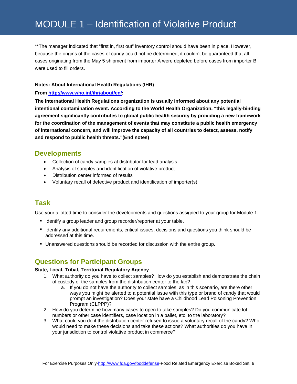# MODULE 1 – Identification of Violative Product

\*\*The manager indicated that "first in, first out" inventory control should have been in place. However, because the origins of the cases of candy could not be determined, it couldn't be guaranteed that all cases originating from the May 5 shipment from importer A were depleted before cases from importer B were used to fill orders.

### **Notes: About International Health Regulations (IHR)**

### **From [http://www.who.int/ihr/about/en/:](http://www.who.int/ihr/about/en/)**

**The International Health Regulations organization is usually informed about any potential intentional contamination event. According to the World Health Organization, "this legally-binding agreement significantly contributes to global public health security by providing a new framework for the coordination of the management of events that may constitute a public health emergency of international concern, and will improve the capacity of all countries to detect, assess, notify and respond to public health threats."(End notes)**

### <span id="page-8-0"></span>**Developments**

- Collection of candy samples at distributor for lead analysis
- Analysis of samples and identification of violative product
- Distribution center informed of results
- Voluntary recall of defective product and identification of importer(s)

### <span id="page-8-1"></span>**Task**

Use your allotted time to consider the developments and questions assigned to your group for Module 1.

- Identify a group leader and group recorder/reporter at your table.
- I dentify any additional requirements, critical issues, decisions and questions you think should be addressed at this time.
- Unanswered questions should be recorded for discussion with the entire group.

### <span id="page-8-2"></span>**Questions for Participant Groups**

### **State, Local, Tribal, Territorial Regulatory Agency**

- 1. What authority do you have to collect samples? How do you establish and demonstrate the chain of custody of the samples from the distribution center to the lab?
	- a. If you do not have the authority to collect samples, as in this scenario, are there other ways you might be alerted to a potential issue with this type or brand of candy that would prompt an investigation? Does your state have a Childhood Lead Poisoning Prevention Program (CLPPP)?
- 2. How do you determine how many cases to open to take samples? Do you communicate lot numbers or other case identifiers, case location in a pallet, etc. to the laboratory?
- 3. What could you do if the distribution center refused to issue a voluntary recall of the candy? Who would need to make these decisions and take these actions? What authorities do you have in your jurisdiction to control violative product in commerce?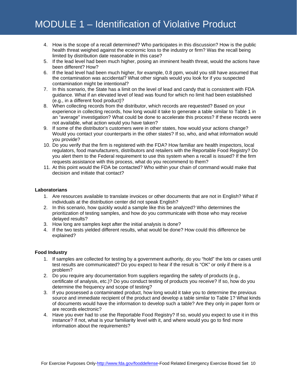- 4. How is the scope of a recall determined? Who participates in this discussion? How is the public health threat weighed against the economic loss to the industry or firm? Was the recall being limited by distribution date reasonable in this case?
- 5. If the lead level had been much higher, posing an imminent health threat, would the actions have been different? How?
- 6. If the lead level had been much higher, for example, 0.8 ppm, would you still have assumed that the contamination was accidental? What other signals would you look for if you suspected contamination might be intentional?
- 7. In this scenario, the State has a limit on the level of lead and candy that is consistent with FDA guidance. What if an elevated level of lead was found for which no limit had been established (e.g., in a different food product)?
- 8. When collecting records from the distributor, which records are requested? Based on your experience in collecting records, how long would it take to generate a table similar to Table 1 in an "average" investigation? What could be done to accelerate this process? If these records were not available, what action would you have taken?
- 9. If some of the distributor's customers were in other states, how would your actions change? Would you contact your counterparts in the other states? If so, who, and what information would you provide?
- 10. Do you verify that the firm is registered with the FDA? How familiar are health inspectors, local regulators, food manufacturers, distributors and retailers with the Reportable Food Registry? Do you alert them to the Federal requirement to use this system when a recall is issued? If the firm requests assistance with this process, what do you recommend to them?
- 11. At this point would the FDA be contacted? Who within your chain of command would make that decision and initiate that contact?

### **Laboratorians**

- 1. Are resources available to translate invoices or other documents that are not in English? What if individuals at the distribution center did not speak English?
- 2. In this scenario, how quickly would a sample like this be analyzed? Who determines the prioritization of testing samples, and how do you communicate with those who may receive delayed results?
- 3. How long are samples kept after the initial analysis is done?
- 4. If the two tests yielded different results, what would be done? How could this difference be explained?

### **Food Industry**

- 1. If samples are collected for testing by a government authority, do you "hold" the lots or cases until test results are communicated? Do you expect to hear if the result is "OK" or only if there is a problem?
- 2. Do you require any documentation from suppliers regarding the safety of products (e.g., certificate of analysis, etc.)? Do you conduct testing of products you receive? If so, how do you determine the frequency and scope of testing?
- 3. If you possessed a contaminated product, how long would it take you to determine the previous source and immediate recipient of the product and develop a table similar to Table 1? What kinds of documents would have the information to develop such a table? Are they only in paper form or are records electronic?
- 4. Have you ever had to use the Reportable Food Registry? If so, would you expect to use it in this instance? If not, what is your familiarity level with it, and where would you go to find more information about the requirements?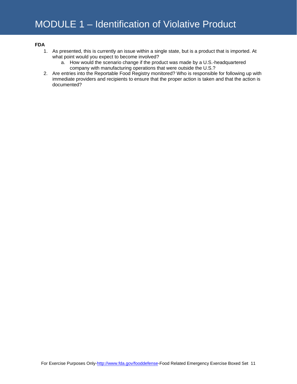### **FDA**

- 1. As presented, this is currently an issue within a single state, but is a product that is imported. At what point would you expect to become involved?
	- a. How would the scenario change if the product was made by a U.S.-headquartered company with manufacturing operations that were outside the U.S.?
- 2. Are entries into the Reportable Food Registry monitored? Who is responsible for following up with immediate providers and recipients to ensure that the proper action is taken and that the action is documented?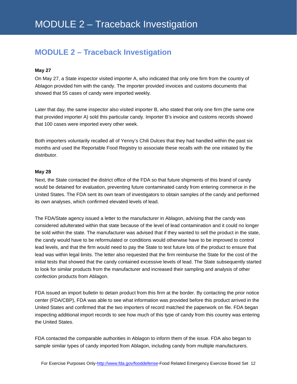# <span id="page-11-0"></span>**MODULE 2 – Traceback Investigation**

### **May 27**

On May 27, a State inspector visited importer A, who indicated that only one firm from the country of Ablagon provided him with the candy. The importer provided invoices and customs documents that showed that 55 cases of candy were imported weekly.

Later that day, the same inspector also visited importer B, who stated that only one firm (the same one that provided importer A) sold this particular candy. Importer B's invoice and customs records showed that 100 cases were imported every other week.

Both importers voluntarily recalled all of Yenny's Chili Dulces that they had handled within the past six months and used the Reportable Food Registry to associate these recalls with the one initiated by the distributor.

### **May 28**

Next, the State contacted the district office of the FDA so that future shipments of this brand of candy would be detained for evaluation, preventing future contaminated candy from entering commerce in the United States. The FDA sent its own team of investigators to obtain samples of the candy and performed its own analyses, which confirmed elevated levels of lead.

The FDA/State agency issued a letter to the manufacturer in Ablagon, advising that the candy was considered adulterated within that state because of the level of lead contamination and it could no longer be sold within the state. The manufacturer was advised that if they wanted to sell the product in the state, the candy would have to be reformulated or conditions would otherwise have to be improved to control lead levels, and that the firm would need to pay the State to test future lots of the product to ensure that lead was within legal limits. The letter also requested that the firm reimburse the State for the cost of the initial tests that showed that the candy contained excessive levels of lead. The State subsequently started to look for similar products from the manufacturer and increased their sampling and analysis of other confection products from Ablagon.

FDA issued an import bulletin to detain product from this firm at the border. By contacting the prior notice center (FDA/CBP), FDA was able to see what information was provided before this product arrived in the United States and confirmed that the two importers of record matched the paperwork on file. FDA began inspecting additional import records to see how much of this type of candy from this country was entering the United States.

FDA contacted the comparable authorities in Ablagon to inform them of the issue. FDA also began to sample similar types of candy imported from Ablagon, including candy from multiple manufacturers.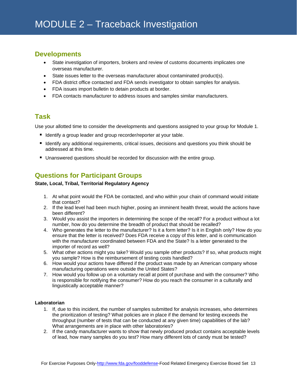### <span id="page-12-0"></span>**Developments**

- State investigation of importers, brokers and review of customs documents implicates one overseas manufacturer.
- State issues letter to the overseas manufacturer about contaminated product(s).
- FDA district office contacted and FDA sends investigator to obtain samples for analysis.
- FDA issues import bulletin to detain products at border.
- FDA contacts manufacturer to address issues and samples similar manufacturers.

### <span id="page-12-1"></span>**Task**

Use your allotted time to consider the developments and questions assigned to your group for Module 1.

- Identify a group leader and group recorder/reporter at your table.
- Identify any additional requirements, critical issues, decisions and questions you think should be addressed at this time.
- **Unanswered questions should be recorded for discussion with the entire group.**

### <span id="page-12-2"></span>**Questions for Participant Groups**

### **State, Local, Tribal, Territorial Regulatory Agency**

- 1. At what point would the FDA be contacted, and who within your chain of command would initiate that contact?
- 2. If the lead level had been much higher, posing an imminent health threat, would the actions have been different?
- 3. Would you assist the importers in determining the scope of the recall? For a product without a lot number, how do you determine the breadth of product that should be recalled?
- 4. Who generates the letter to the manufacturer? Is it a form letter? Is it in English only? How do you ensure that the letter is received? Does FDA receive a copy of this letter, and is communication with the manufacturer coordinated between FDA and the State? Is a letter generated to the importer of record as well?
- 5. What other actions might you take? Would you sample other products? If so, what products might you sample? How is the reimbursement of testing costs handled?
- 6. How would your actions have differed if the product was made by an American company whose manufacturing operations were outside the United States?
- 7. How would you follow up on a voluntary recall at point of purchase and with the consumer? Who is responsible for notifying the consumer? How do you reach the consumer in a culturally and linguistically acceptable manner?

### **Laboratorian**

- 1. If, due to this incident, the number of samples submitted for analysis increases, who determines the prioritization of testing? What policies are in place if the demand for testing exceeds the throughput (number of tests that can be conducted at any given time) capabilities of the lab? What arrangements are in place with other laboratories?
- 2. If the candy manufacturer wants to show that newly produced product contains acceptable levels of lead, how many samples do you test? How many different lots of candy must be tested?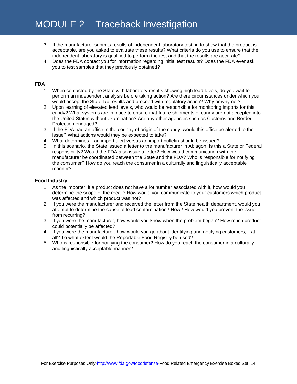- 3. If the manufacturer submits results of independent laboratory testing to show that the product is acceptable, are you asked to evaluate these results? What criteria do you use to ensure that the independent laboratory is qualified to perform the test and that the results are accurate?
- 4. Does the FDA contact you for information regarding initial test results? Does the FDA ever ask you to test samples that they previously obtained?

### **FDA**

- 1. When contacted by the State with laboratory results showing high lead levels, do you wait to perform an independent analysis before taking action? Are there circumstances under which you would accept the State lab results and proceed with regulatory action? Why or why not?
- 2. Upon learning of elevated lead levels, who would be responsible for monitoring imports for this candy? What systems are in place to ensure that future shipments of candy are not accepted into the United States without examination? Are any other agencies such as Customs and Border Protection engaged?
- 3. If the FDA had an office in the country of origin of the candy, would this office be alerted to the issue? What actions would they be expected to take?
- 4. What determines if an import alert versus an import bulletin should be issued?
- 5. In this scenario, the State issued a letter to the manufacturer in Ablagon. Is this a State or Federal responsibility? Would the FDA also issue a letter? How would communication with the manufacturer be coordinated between the State and the FDA? Who is responsible for notifying the consumer? How do you reach the consumer in a culturally and linguistically acceptable manner?

### **Food Industry**

- 1. As the importer, if a product does not have a lot number associated with it, how would you determine the scope of the recall? How would you communicate to your customers which product was affected and which product was not?
- 2. If you were the manufacturer and received the letter from the State health department, would you attempt to determine the cause of lead contamination? How? How would you prevent the issue from recurring?
- 3. If you were the manufacturer, how would you know when the problem began? How much product could potentially be affected?
- 4. If you were the manufacturer, how would you go about identifying and notifying customers, if at all? To what extent would the Reportable Food Registry be used?
- 5. Who is responsible for notifying the consumer? How do you reach the consumer in a culturally and linguistically acceptable manner?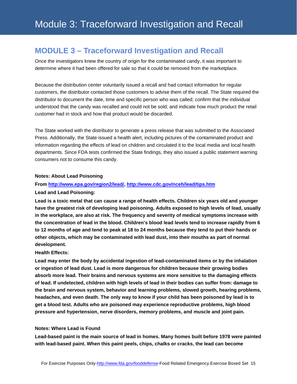## <span id="page-14-0"></span>**MODULE 3 – Traceforward Investigation and Recall**

Once the investigators knew the country of origin for the contaminated candy, it was important to determine where it had been offered for sale so that it could be removed from the marketplace.

Because the distribution center voluntarily issued a recall and had contact information for regular customers, the distributor contacted those customers to advise them of the recall. The State required the distributor to document the date, time and specific person who was called; confirm that the individual understood that the candy was recalled and could not be sold; and indicate how much product the retail customer had in stock and how that product would be discarded.

The State worked with the distributor to generate a press release that was submitted to the Associated Press. Additionally, the State issued a health alert, including pictures of the contaminated product and information regarding the effects of lead on children and circulated it to the local media and local health departments. Since FDA tests confirmed the State findings, they also issued a public statement warning consumers not to consume this candy.

### **Notes: About Lead Poisoning**

### **From [http://www.epa.gov/region2/lead/,](http://www.epa.gov/region2/lead/)<http://www.cdc.gov/nceh/lead/tips.htm>**

### **Lead and Lead Poisoning:**

**Lead is a toxic metal that can cause a range of health effects. Children six years old and younger have the greatest risk of developing lead poisoning. Adults exposed to high levels of lead, usually in the workplace, are also at risk. The frequency and severity of medical symptoms increase with the concentration of lead in the blood. Children's blood lead levels tend to increase rapidly from 6 to 12 months of age and tend to peak at 18 to 24 months because they tend to put their hands or other objects, which may be contaminated with lead dust, into their mouths as part of normal development.**

### **Health Effects:**

**Lead may enter the body by accidental ingestion of lead-contaminated items or by the inhalation or ingestion of lead dust. Lead is more dangerous for children because their growing bodies absorb more lead. Their brains and nervous systems are more sensitive to the damaging effects of lead. If undetected, children with high levels of lead in their bodies can suffer from: damage to the brain and nervous system, behavior and learning problems, slowed growth, hearing problems, headaches, and even death. The only way to know if your child has been poisoned by lead is to get a blood test. Adults who are poisoned may experience reproductive problems, high blood pressure and hypertension, nerve disorders, memory problems, and muscle and joint pain.** 

### **Notes: Where Lead is Found**

**Lead-based paint is the main source of lead in homes. Many homes built before 1978 were painted with lead-based paint. When this paint peels, chips, chalks or cracks, the lead can become**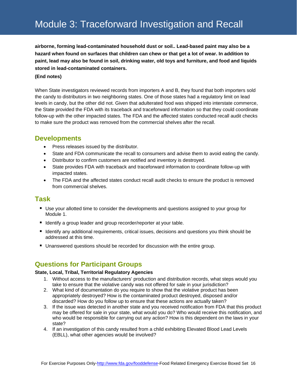**airborne, forming lead-contaminated household dust or soil.. Lead-based paint may also be a hazard when found on surfaces that children can chew or that get a lot of wear. In addition to paint, lead may also be found in soil, drinking water, old toys and furniture, and food and liquids stored in lead-contaminated containers.**

### **(End notes)**

When State investigators reviewed records from importers A and B, they found that both importers sold the candy to distributors in two neighboring states. One of those states had a regulatory limit on lead levels in candy, but the other did not. Given that adulterated food was shipped into interstate commerce, the State provided the FDA with its traceback and traceforward information so that they could coordinate follow-up with the other impacted states. The FDA and the affected states conducted recall audit checks to make sure the product was removed from the commercial shelves after the recall.

### <span id="page-15-0"></span>**Developments**

- Press releases issued by the distributor.
- State and FDA communicate the recall to consumers and advise them to avoid eating the candy.
- Distributor to confirm customers are notified and inventory is destroyed.
- State provides FDA with traceback and traceforward information to coordinate follow-up with impacted states.
- The FDA and the affected states conduct recall audit checks to ensure the product is removed from commercial shelves.

### <span id="page-15-1"></span>**Task**

- Use your allotted time to consider the developments and questions assigned to your group for Module 1.
- Identify a group leader and group recorder/reporter at your table.
- **If Identify any additional requirements, critical issues, decisions and questions you think should be** addressed at this time.
- Unanswered questions should be recorded for discussion with the entire group.

### <span id="page-15-2"></span>**Questions for Participant Groups**

### **State, Local, Tribal, Territorial Regulatory Agencies**

- 1. Without access to the manufacturers' production and distribution records, what steps would you take to ensure that the violative candy was not offered for sale in your jurisdiction?
- 2. What kind of documentation do you require to show that the violative product has been appropriately destroyed? How is the contaminated product destroyed, disposed and/or discarded? How do you follow up to ensure that these actions are actually taken?
- 3. If the issue was detected in another state and you received notification from FDA that this product may be offered for sale in your state, what would you do? Who would receive this notification, and who would be responsible for carrying out any action? How is this dependent on the laws in your state?
- 4. If an investigation of this candy resulted from a child exhibiting Elevated Blood Lead Levels (EBLL), what other agencies would be involved?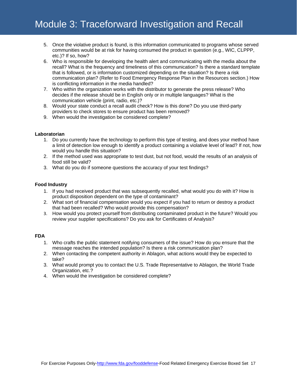- 5. Once the violative product is found, is this information communicated to programs whose served communities would be at risk for having consumed the product in question (e.g., WIC, CLPPP, etc.)? If so, how?
- 6. Who is responsible for developing the health alert and communicating with the media about the recall? What is the frequency and timeliness of this communication? Is there a standard template that is followed, or is information customized depending on the situation? Is there a risk communication plan? (Refer to Food Emergency Response Plan in the Resources section.) How is conflicting information in the media handled?
- 7. Who within the organization works with the distributor to generate the press release? Who decides if the release should be in English only or in multiple languages? What is the communication vehicle (print, radio, etc.)?
- 8. Would your state conduct a recall audit check? How is this done? Do you use third-party providers to check stores to ensure product has been removed?
- 9. When would the investigation be considered complete?

#### **Laboratorian**

- 1. Do you currently have the technology to perform this type of testing, and does your method have a limit of detection low enough to identify a product containing a violative level of lead? If not, how would you handle this situation?
- 2. If the method used was appropriate to test dust, but not food, would the results of an analysis of food still be valid?
- 3. What do you do if someone questions the accuracy of your test findings?

#### **Food Industry**

- 1. If you had received product that was subsequently recalled, what would you do with it? How is product disposition dependent on the type of contaminant?
- 2. What sort of financial compensation would you expect if you had to return or destroy a product that had been recalled? Who would provide this compensation?
- 3. How would you protect yourself from distributing contaminated product in the future? Would you review your supplier specifications? Do you ask for Certificates of Analysis?

#### **FDA**

- 1. Who crafts the public statement notifying consumers of the issue? How do you ensure that the message reaches the intended population? Is there a risk communication plan?
- 2. When contacting the competent authority in Ablagon, what actions would they be expected to take?
- 3. What would prompt you to contact the U.S. Trade Representative to Ablagon, the World Trade Organization, etc.?
- 4. When would the investigation be considered complete?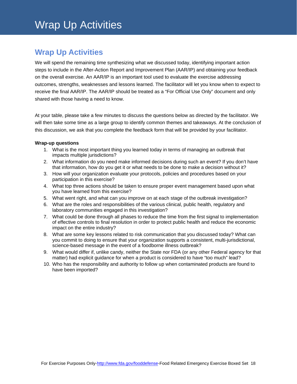# <span id="page-17-0"></span>**Wrap Up Activities**

We will spend the remaining time synthesizing what we discussed today, identifying important action steps to include in the After-Action Report and Improvement Plan (AAR/IP) and obtaining your feedback on the overall exercise. An AAR/IP is an important tool used to evaluate the exercise addressing outcomes, strengths, weaknesses and lessons learned. The facilitator will let you know when to expect to receive the final AAR/IP. The AAR/IP should be treated as a "For Official Use Only" document and only shared with those having a need to know.

At your table, please take a few minutes to discuss the questions below as directed by the facilitator. We will then take some time as a large group to identify common themes and takeaways. At the conclusion of this discussion, we ask that you complete the feedback form that will be provided by your facilitator.

### **Wrap-up questions**

- 1. What is the most important thing you learned today in terms of managing an outbreak that impacts multiple jurisdictions?
- 2. What information do you need make informed decisions during such an event? If you don't have that information, how do you get it or what needs to be done to make a decision without it?
- 3. How will your organization evaluate your protocols, policies and procedures based on your participation in this exercise?
- 4. What top three actions should be taken to ensure proper event management based upon what you have learned from this exercise?
- 5. What went right, and what can you improve on at each stage of the outbreak investigation?
- 6. What are the roles and responsibilities of the various clinical, public health, regulatory and laboratory communities engaged in this investigation?
- 7. What could be done through all phases to reduce the time from the first signal to implementation of effective controls to final resolution in order to protect public health and reduce the economic impact on the entire industry?
- 8. What are some key lessons related to risk communication that you discussed today? What can you commit to doing to ensure that your organization supports a consistent, multi-jurisdictional, science-based message in the event of a foodborne illness outbreak?
- 9. What would differ if, unlike candy, neither the State nor FDA (or any other Federal agency for that matter) had explicit guidance for when a product is considered to have "too much" lead?
- 10. Who has the responsibility and authority to follow up when contaminated products are found to have been imported?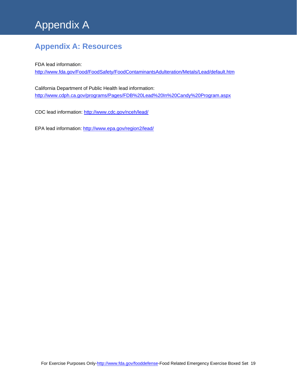# Appendix A

# <span id="page-18-0"></span>**Appendix A: Resources**

FDA lead information:

<http://www.fda.gov/Food/FoodSafety/FoodContaminantsAdulteration/Metals/Lead/default.htm>

California Department of Public Health lead information: <http://www.cdph.ca.gov/programs/Pages/FDB%20Lead%20In%20Candy%20Program.aspx>

CDC lead information:<http://www.cdc.gov/nceh/lead/>

EPA lead information:<http://www.epa.gov/region2/lead/>